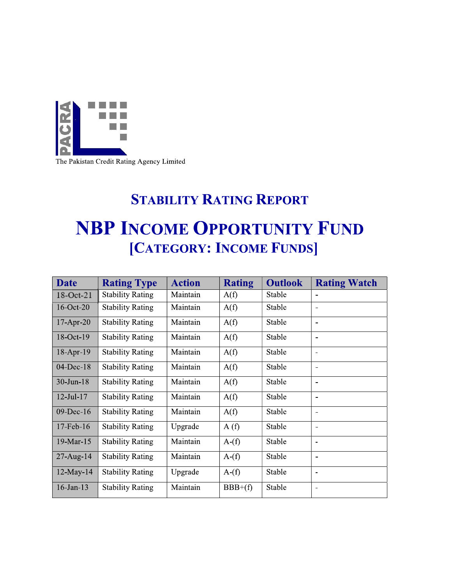

The Pakistan Credit Rating Agency Limited

# **STABILITY RATING REPORT NBP INCOME OPPORTUNITY FUND** [CATEGORY: INCOME FUNDS]

| <b>Date</b>     | <b>Rating Type</b>      | <b>Action</b> | <b>Rating</b> | <b>Outlook</b> | <b>Rating Watch</b>          |
|-----------------|-------------------------|---------------|---------------|----------------|------------------------------|
| 18-Oct-21       | <b>Stability Rating</b> | Maintain      | A(f)          | Stable         | $\qquad \qquad \blacksquare$ |
| 16-Oct-20       | <b>Stability Rating</b> | Maintain      | A(f)          | Stable         | $\overline{\phantom{0}}$     |
| $17-Apr-20$     | <b>Stability Rating</b> | Maintain      | A(f)          | Stable         |                              |
| 18-Oct-19       | <b>Stability Rating</b> | Maintain      | A(f)          | Stable         | $\qquad \qquad \blacksquare$ |
| $18$ -Apr-19    | <b>Stability Rating</b> | Maintain      | A(f)          | Stable         |                              |
| $04$ -Dec-18    | <b>Stability Rating</b> | Maintain      | A(f)          | Stable         | $\overline{\phantom{0}}$     |
| $30$ -Jun-18    | <b>Stability Rating</b> | Maintain      | A(f)          | Stable         |                              |
| $12$ -Jul- $17$ | <b>Stability Rating</b> | Maintain      | A(f)          | Stable         |                              |
| $09$ -Dec-16    | <b>Stability Rating</b> | Maintain      | A(f)          | Stable         |                              |
| $17$ -Feb- $16$ | <b>Stability Rating</b> | Upgrade       | A(f)          | Stable         | $\qquad \qquad \blacksquare$ |
| 19-Mar-15       | <b>Stability Rating</b> | Maintain      | A(f)          | Stable         |                              |
| $27$ -Aug-14    | <b>Stability Rating</b> | Maintain      | A(f)          | Stable         | -                            |
| $12$ -May-14    | <b>Stability Rating</b> | Upgrade       | $A-f$         | Stable         | $\blacksquare$               |
| $16$ -Jan- $13$ | <b>Stability Rating</b> | Maintain      | $BBB+(f)$     | Stable         | $\qquad \qquad \blacksquare$ |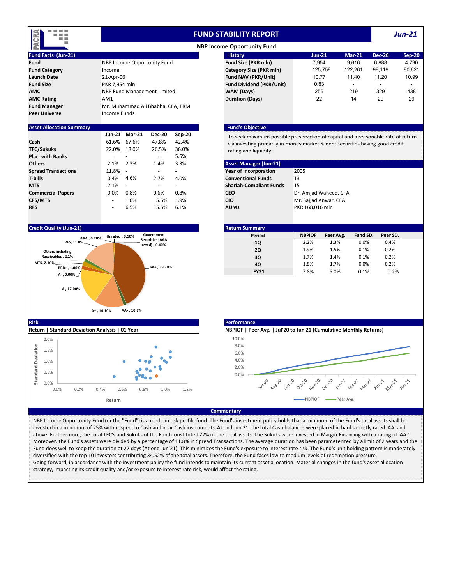

# **FUND STABILITY REPORT**

*Jun‐21*

|                      |                                   | .                               |
|----------------------|-----------------------------------|---------------------------------|
| <b>Fund</b>          | NBP Income Opportunity Fund       | <b>Fund Size (PKR mln)</b>      |
| <b>Fund Category</b> | Income                            | <b>Category Size (PKR mln)</b>  |
| <b>Launch Date</b>   | 21-Apr-06                         | <b>Fund NAV (PKR/Unit)</b>      |
| <b>Fund Size</b>     | PKR 7.954 mln                     | <b>Fund Dividend (PKR/Unit)</b> |
| AMC                  | NBP Fund Management Limited       | WAM (Days)                      |
| <b>AMC Rating</b>    | AM <sub>1</sub>                   | <b>Duration (Days)</b>          |
| <b>Fund Manager</b>  | Mr. Muhammad Ali Bhabha, CFA, FRM |                                 |
| Peer Universe        | Income Funds                      |                                 |
|                      |                                   |                                 |

# **Asset Allocation Summary Fund's Objective**

|                            | <b>Jun-21</b>            | <b>Mar-21</b> | <b>Dec-20</b>            | Sep-20                   | To seek maximum possible preservation of capital an   |  |
|----------------------------|--------------------------|---------------|--------------------------|--------------------------|-------------------------------------------------------|--|
| Cash                       | 61.6%                    | 67.6%         | 47.8%                    | 42.4%                    | via investing primarily in money market & debt secure |  |
| <b>TFC/Sukuks</b>          | 22.0%                    | 18.0%         | 26.5%                    | 36.0%                    | rating and liquidity.                                 |  |
| <b>Plac. with Banks</b>    |                          |               | ٠                        | 5.5%                     |                                                       |  |
| <b>Others</b>              | 2.1%                     | 2.3%          | 1.4%                     | 3.3%                     | <b>Asset Manager (Jun-21)</b>                         |  |
| <b>Spread Transactions</b> | 11.8% -                  |               | $\overline{\phantom{a}}$ | $\overline{\phantom{a}}$ | 2005<br>Year of Incorporation                         |  |
| <b>T-bills</b>             | 0.4%                     | 4.6%          | 2.7%                     | 4.0%                     | <b>Conventional Funds</b><br>13                       |  |
| <b>MTS</b>                 | $2.1\% -$                |               | $\overline{\phantom{a}}$ | $\overline{\phantom{a}}$ | <b>Shariah-Compliant Funds</b><br>15                  |  |
| <b>Commercial Papers</b>   | $0.0\%$                  | 0.8%          | 0.6%                     | 0.8%                     | Dr. Amjad Waheed, CFA<br><b>CEO</b>                   |  |
| <b>CFS/MTS</b>             | $\sim$                   | 1.0%          | 5.5%                     | 1.9%                     | Mr. Sajjad Anwar, CFA<br><b>CIO</b>                   |  |
| <b>RFS</b>                 | $\overline{\phantom{a}}$ | 6.5%          | 15.5%                    | 6.1%                     | PKR 168,016 mln<br><b>AUMs</b>                        |  |

## **Credit Quality (Jun‐21)**





| E                    |                                | <b>NBP Income Opportunity Fund</b> |               |          |               |               |
|----------------------|--------------------------------|------------------------------------|---------------|----------|---------------|---------------|
| Fund Facts (Jun-21)  |                                | <b>History</b>                     | <b>Jun-21</b> | $Mar-21$ | <b>Dec-20</b> | <b>Sep-20</b> |
| Fund                 | NBP Income Opportunity Fund    | <b>Fund Size (PKR mln)</b>         | 7.954         | 9.616    | 6.888         | 4,790         |
| <b>Fund Category</b> | Income                         | Category Size (PKR mln)            | 125.759       | 122.261  | 99.119        | 90.621        |
| <b>Launch Date</b>   | 21-Apr-06                      | <b>Fund NAV (PKR/Unit)</b>         | 10.77         | 11.40    | 11.20         | 10.99         |
| <b>Fund Size</b>     | PKR 7.954 mln                  | <b>Fund Dividend (PKR/Unit)</b>    | 0.83          |          |               | -             |
| AMC                  | NBP Fund Management Limited    | WAM (Days)                         | 256           | 219      | 329           | 438           |
| <b>AMC Rating</b>    | AM1                            | <b>Duration (Days)</b>             | 22            | 14       | 29            | 29            |
|                      | <b>MARIA MARIA LA CEA EDIA</b> |                                    |               |          |               |               |

To seek maximum possible preservation of capital and a reasonable rate of return via investing primarily in money market & debt securities having good credit rating and liquidity.

| <b>Asset Manager (Jun-21)</b>  |                       |
|--------------------------------|-----------------------|
| <b>Year of Incorporation</b>   | 2005                  |
| <b>Conventional Funds</b>      | 13                    |
| <b>Shariah-Compliant Funds</b> | 15                    |
| CEO                            | Dr. Amjad Waheed, CFA |
| CIO                            | Mr. Sajjad Anwar, CFA |
| AUMs                           | PKR 168,016 mln       |

| <b>Return Summary</b> |           |          |          |  |  |
|-----------------------|-----------|----------|----------|--|--|
| <b>NBPIOF</b>         | Peer Avg. | Fund SD. | Peer SD. |  |  |
| 2.2%                  | 1.3%      | 0.0%     | 0.4%     |  |  |
| 1.9%                  | 1.5%      | 0.1%     | 0.2%     |  |  |
| 1.7%                  | 1.4%      | 0.1%     | 0.2%     |  |  |
| 1.8%                  | 1.7%      | 0.0%     | 0.2%     |  |  |
| 7.8%                  | 6.0%      | 0.1%     | 0.2%     |  |  |
|                       |           |          |          |  |  |



#### **Commentary**

NBP Income Opportunity Fund (or the "Fund") is a medium risk profile fund. The Fund's investment policy holds that a minimum of the Fund's total assets shall be invested in a minimum of 25% with respect to Cash and near Cash instruments. At end Jun'21, the total Cash balances were placed in banks mostly rated 'AA' and above. Furthermore, the total TFC's and Sukuks of the Fund constituted 22% of the total assets. The Sukuks were invested in Margin Financing with a rating of 'AA‐'. Moreover, the Fund's assets were divided by a percentage of 11.8% in Spread Transactions. The average duration has been parameterized by a limit of 2 years and the Fund does well to keep the duration at 22 days (At end Jun'21). This minimizes the Fund's exposure to interest rate risk. The Fund's unit holding pattern is moderately diversified with the top 10 investors contributing 34.52% of the total assets. Therefore, the Fund faces low to medium levels of redemption pressure. Going forward, in accordance with the investment policy the fund intends to maintain its current asset allocation. Material changes in the fund's asset allocation strategy, impacting its credit quality and/or exposure to interest rate risk, would affect the rating.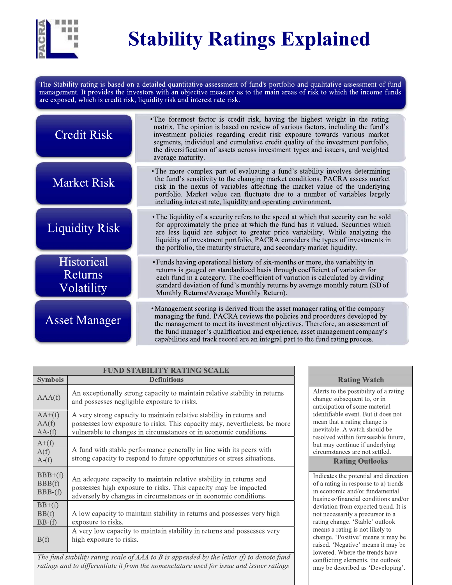

# **Stability Ratings Explained**

The Stability rating is based on a detailed quantitative assessment of fund's portfolio and qualitative assessment of fund management. It provides the investors with an objective measure as to the main areas of risk to which the income funds are exposed, which is credit risk, liquidity risk and interest rate risk.

| <b>Credit Risk</b>                         | • The foremost factor is credit risk, having the highest weight in the rating<br>matrix. The opinion is based on review of various factors, including the fund's<br>investment policies regarding credit risk exposure towards various market<br>segments, individual and cumulative credit quality of the investment portfolio,<br>the diversification of assets across investment types and issuers, and weighted<br>average maturity. |
|--------------------------------------------|------------------------------------------------------------------------------------------------------------------------------------------------------------------------------------------------------------------------------------------------------------------------------------------------------------------------------------------------------------------------------------------------------------------------------------------|
| <b>Market Risk</b>                         | • The more complex part of evaluating a fund's stability involves determining<br>the fund's sensitivity to the changing market conditions. PACRA assess market<br>risk in the nexus of variables affecting the market value of the underlying<br>portfolio. Market value can fluctuate due to a number of variables largely<br>including interest rate, liquidity and operating environment.                                             |
| <b>Liquidity Risk</b>                      | • The liquidity of a security refers to the speed at which that security can be sold<br>for approximately the price at which the fund has it valued. Securities which<br>are less liquid are subject to greater price variability. While analyzing the<br>liquidity of investment portfolio, PACRA considers the types of investments in<br>the portfolio, the maturity structure, and secondary market liquidity.                       |
| Historical<br><b>Returns</b><br>Volatility | • Funds having operational history of six-months or more, the variability in<br>returns is gauged on standardized basis through coefficient of variation for<br>each fund in a category. The coefficient of variation is calculated by dividing<br>standard deviation of fund's monthly returns by average monthly return (SD of<br>Monthly Returns/Average Monthly Return).                                                             |
| <b>Asset Manager</b>                       | • Management scoring is derived from the asset manager rating of the company<br>managing the fund. PACRA reviews the policies and procedures developed by<br>the management to meet its investment objectives. Therefore, an assessment of<br>the fund manager's qualification and experience, asset management company's<br>capabilities and track record are an integral part to the fund rating process                               |

| <b>FUND STABILITY RATING SCALE</b> |                                                                                                                                                                                                                        |  |  |  |
|------------------------------------|------------------------------------------------------------------------------------------------------------------------------------------------------------------------------------------------------------------------|--|--|--|
| <b>Symbols</b>                     | <b>Definitions</b>                                                                                                                                                                                                     |  |  |  |
| AAA(f)                             | An exceptionally strong capacity to maintain relative stability in returns<br>and possesses negligible exposure to risks.                                                                                              |  |  |  |
| $AA+(f)$<br>AA(f)<br>AA(f)         | A very strong capacity to maintain relative stability in returns and<br>possesses low exposure to risks. This capacity may, nevertheless, be more<br>vulnerable to changes in circumstances or in economic conditions. |  |  |  |
| $A+(f)$<br>A(f)<br>$A-(f)$         | A fund with stable performance generally in line with its peers with<br>strong capacity to respond to future opportunities or stress situations.                                                                       |  |  |  |
| $BBB+(f)$<br>BBB(f)<br>$BBB-(f)$   | An adequate capacity to maintain relative stability in returns and<br>possesses high exposure to risks. This capacity may be impacted<br>adversely by changes in circumstances or in economic conditions.              |  |  |  |
| $BB+(f)$<br>BB(f)<br>$BB-(f)$      | A low capacity to maintain stability in returns and possesses very high<br>exposure to risks.                                                                                                                          |  |  |  |
| B(f)                               | A very low capacity to maintain stability in returns and possesses very<br>high exposure to risks.                                                                                                                     |  |  |  |

The fund stability rating scale of  $AAA$  to  $B$  is appended by the letter (f) to denote fund ratings and to differentiate it from the nomenclature used for issue and issuer ratings

# **Rating Watch**

Alerts to the possibility of a rating change subsequent to, or in anticipation of some material identifiable event. But it does not mean that a rating change is inevitable. A watch should be resolved within foreseeable future. but may continue if underlying circumstances are not settled.

# **Rating Outlooks**

Indicates the potential and direction of a rating in response to a) trends in economic and/or fundamental business/financial conditions and/or deviation from expected trend. It is not necessarily a precursor to a rating change. 'Stable' outlook means a rating is not likely to change. 'Positive' means it may be raised. 'Negative' means it may be lowered. Where the trends have conflicting elements, the outlook may be described as 'Developing'.